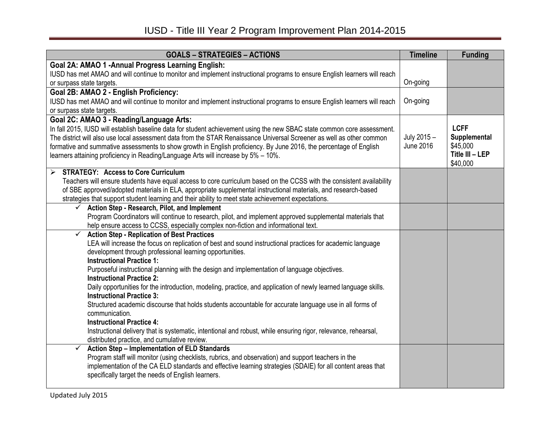| <b>GOALS - STRATEGIES - ACTIONS</b>                                                                                              | <b>Timeline</b>                 | <b>Funding</b>           |
|----------------------------------------------------------------------------------------------------------------------------------|---------------------------------|--------------------------|
| Goal 2A: AMAO 1 - Annual Progress Learning English:                                                                              |                                 |                          |
| IUSD has met AMAO and will continue to monitor and implement instructional programs to ensure English learners will reach        |                                 |                          |
| or surpass state targets.                                                                                                        | On-going                        |                          |
| Goal 2B: AMAO 2 - English Proficiency:                                                                                           |                                 |                          |
| IUSD has met AMAO and will continue to monitor and implement instructional programs to ensure English learners will reach        | On-going                        |                          |
| or surpass state targets.                                                                                                        |                                 |                          |
| Goal 2C: AMAO 3 - Reading/Language Arts:                                                                                         |                                 |                          |
| In fall 2015, IUSD will establish baseline data for student achievement using the new SBAC state common core assessment.         |                                 | <b>LCFF</b>              |
| The district will also use local assessment data from the STAR Renaissance Universal Screener as well as other common            | July 2015 -<br><b>June 2016</b> | Supplemental<br>\$45,000 |
| formative and summative assessments to show growth in English proficiency. By June 2016, the percentage of English               |                                 | Title III - LEP          |
| learners attaining proficiency in Reading/Language Arts will increase by 5% - 10%.                                               |                                 | \$40,000                 |
| <b>STRATEGY: Access to Core Curriculum</b><br>≻                                                                                  |                                 |                          |
| Teachers will ensure students have equal access to core curriculum based on the CCSS with the consistent availability            |                                 |                          |
| of SBE approved/adopted materials in ELA, appropriate supplemental instructional materials, and research-based                   |                                 |                          |
| strategies that support student learning and their ability to meet state achievement expectations.                               |                                 |                          |
| Action Step - Research, Pilot, and Implement                                                                                     |                                 |                          |
| Program Coordinators will continue to research, pilot, and implement approved supplemental materials that                        |                                 |                          |
| help ensure access to CCSS, especially complex non-fiction and informational text.                                               |                                 |                          |
| <b>Action Step - Replication of Best Practices</b>                                                                               |                                 |                          |
| LEA will increase the focus on replication of best and sound instructional practices for academic language                       |                                 |                          |
| development through professional learning opportunities.                                                                         |                                 |                          |
| <b>Instructional Practice 1:</b>                                                                                                 |                                 |                          |
| Purposeful instructional planning with the design and implementation of language objectives.<br><b>Instructional Practice 2:</b> |                                 |                          |
| Daily opportunities for the introduction, modeling, practice, and application of newly learned language skills.                  |                                 |                          |
| <b>Instructional Practice 3:</b>                                                                                                 |                                 |                          |
| Structured academic discourse that holds students accountable for accurate language use in all forms of                          |                                 |                          |
| communication.                                                                                                                   |                                 |                          |
| <b>Instructional Practice 4:</b>                                                                                                 |                                 |                          |
| Instructional delivery that is systematic, intentional and robust, while ensuring rigor, relevance, rehearsal,                   |                                 |                          |
| distributed practice, and cumulative review.                                                                                     |                                 |                          |
| Action Step - Implementation of ELD Standards<br>$\checkmark$                                                                    |                                 |                          |
| Program staff will monitor (using checklists, rubrics, and observation) and support teachers in the                              |                                 |                          |
| implementation of the CA ELD standards and effective learning strategies (SDAIE) for all content areas that                      |                                 |                          |
| specifically target the needs of English learners.                                                                               |                                 |                          |
|                                                                                                                                  |                                 |                          |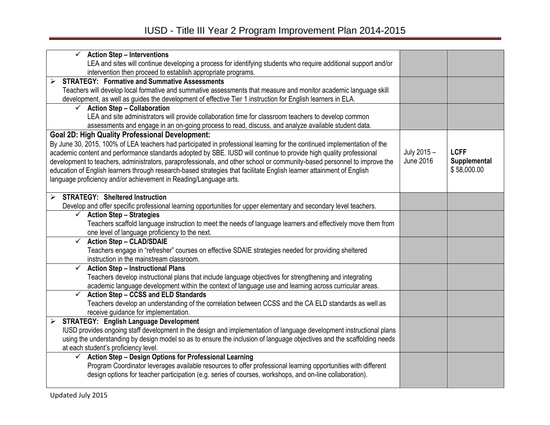| <b>Action Step - Interventions</b>                                                                                                                         |                  |              |
|------------------------------------------------------------------------------------------------------------------------------------------------------------|------------------|--------------|
| LEA and sites will continue developing a process for identifying students who require additional support and/or                                            |                  |              |
| intervention then proceed to establish appropriate programs.                                                                                               |                  |              |
| <b>STRATEGY: Formative and Summative Assessments</b>                                                                                                       |                  |              |
| Teachers will develop local formative and summative assessments that measure and monitor academic language skill                                           |                  |              |
| development, as well as guides the development of effective Tier 1 instruction for English learners in ELA.                                                |                  |              |
| $\checkmark$ Action Step - Collaboration                                                                                                                   |                  |              |
| LEA and site administrators will provide collaboration time for classroom teachers to develop common                                                       |                  |              |
| assessments and engage in an on-going process to read, discuss, and analyze available student data.                                                        |                  |              |
| <b>Goal 2D: High Quality Professional Development:</b>                                                                                                     |                  |              |
| By June 30, 2015, 100% of LEA teachers had participated in professional learning for the continued implementation of the                                   |                  | <b>LCFF</b>  |
| academic content and performance standards adopted by SBE. IUSD will continue to provide high quality professional                                         | July 2015 -      |              |
| development to teachers, administrators, paraprofessionals, and other school or community-based personnel to improve the                                   | <b>June 2016</b> | Supplemental |
| education of English learners through research-based strategies that facilitate English learner attainment of English                                      |                  | \$58,000.00  |
| language proficiency and/or achievement in Reading/Language arts.                                                                                          |                  |              |
| <b>STRATEGY: Sheltered Instruction</b>                                                                                                                     |                  |              |
| ↘                                                                                                                                                          |                  |              |
| Develop and offer specific professional learning opportunities for upper elementary and secondary level teachers.<br>$\checkmark$ Action Step - Strategies |                  |              |
|                                                                                                                                                            |                  |              |
| Teachers scaffold language instruction to meet the needs of language learners and effectively move them from                                               |                  |              |
| one level of language proficiency to the next.<br>$\checkmark$<br><b>Action Step - CLAD/SDAIE</b>                                                          |                  |              |
|                                                                                                                                                            |                  |              |
| Teachers engage in "refresher" courses on effective SDAIE strategies needed for providing sheltered<br>instruction in the mainstream classroom.            |                  |              |
| $\checkmark$<br><b>Action Step - Instructional Plans</b>                                                                                                   |                  |              |
| Teachers develop instructional plans that include language objectives for strengthening and integrating                                                    |                  |              |
| academic language development within the context of language use and learning across curricular areas.                                                     |                  |              |
| <b>Action Step - CCSS and ELD Standards</b><br>$\checkmark$                                                                                                |                  |              |
| Teachers develop an understanding of the correlation between CCSS and the CA ELD standards as well as                                                      |                  |              |
| receive guidance for implementation.                                                                                                                       |                  |              |
| <b>STRATEGY: English Language Development</b>                                                                                                              |                  |              |
| IUSD provides ongoing staff development in the design and implementation of language development instructional plans                                       |                  |              |
| using the understanding by design model so as to ensure the inclusion of language objectives and the scaffolding needs                                     |                  |              |
| at each student's proficiency level.                                                                                                                       |                  |              |
| Action Step - Design Options for Professional Learning<br>✓                                                                                                |                  |              |
| Program Coordinator leverages available resources to offer professional learning opportunities with different                                              |                  |              |
| design options for teacher participation (e.g. series of courses, workshops, and on-line collaboration).                                                   |                  |              |
|                                                                                                                                                            |                  |              |
|                                                                                                                                                            |                  |              |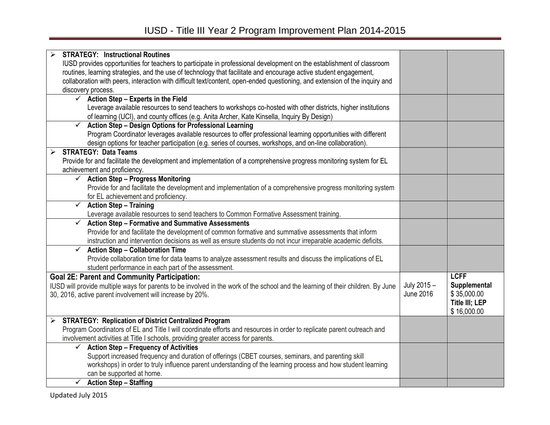| <b>STRATEGY: Instructional Routines</b>                                                                                          |                  |                       |
|----------------------------------------------------------------------------------------------------------------------------------|------------------|-----------------------|
| IUSD provides opportunities for teachers to participate in professional development on the establishment of classroom            |                  |                       |
| routines, learning strategies, and the use of technology that facilitate and encourage active student engagement,                |                  |                       |
| collaboration with peers, interaction with difficult text/content, open-ended questioning, and extension of the inquiry and      |                  |                       |
| discovery process.                                                                                                               |                  |                       |
| $\checkmark$ Action Step - Experts in the Field                                                                                  |                  |                       |
| Leverage available resources to send teachers to workshops co-hosted with other districts, higher institutions                   |                  |                       |
| of learning (UCI), and county offices (e.g. Anita Archer, Kate Kinsella, Inquiry By Design)                                      |                  |                       |
| <b>Action Step - Design Options for Professional Learning</b><br>$\checkmark$                                                    |                  |                       |
| Program Coordinator leverages available resources to offer professional learning opportunities with different                    |                  |                       |
| design options for teacher participation (e.g. series of courses, workshops, and on-line collaboration).                         |                  |                       |
| <b>STRATEGY: Data Teams</b><br>➤                                                                                                 |                  |                       |
| Provide for and facilitate the development and implementation of a comprehensive progress monitoring system for EL               |                  |                       |
| achievement and proficiency.                                                                                                     |                  |                       |
| $\checkmark$ Action Step - Progress Monitoring                                                                                   |                  |                       |
| Provide for and facilitate the development and implementation of a comprehensive progress monitoring system                      |                  |                       |
| for EL achievement and proficiency.                                                                                              |                  |                       |
| <b>Action Step - Training</b><br>$\checkmark$                                                                                    |                  |                       |
| Leverage available resources to send teachers to Common Formative Assessment training.                                           |                  |                       |
| <b>Action Step - Formative and Summative Assessments</b><br>$\checkmark$                                                         |                  |                       |
| Provide for and facilitate the development of common formative and summative assessments that inform                             |                  |                       |
| instruction and intervention decisions as well as ensure students do not incur irreparable academic deficits.                    |                  |                       |
| <b>Action Step - Collaboration Time</b><br>$\checkmark$                                                                          |                  |                       |
| Provide collaboration time for data teams to analyze assessment results and discuss the implications of EL                       |                  |                       |
| student performance in each part of the assessment.                                                                              |                  |                       |
| <b>Goal 2E: Parent and Community Participation:</b>                                                                              |                  | <b>LCFF</b>           |
| IUSD will provide multiple ways for parents to be involved in the work of the school and the learning of their children. By June | July 2015 -      | Supplemental          |
| 30, 2016, active parent involvement will increase by 20%.                                                                        | <b>June 2016</b> | \$35,000.00           |
|                                                                                                                                  |                  | <b>Title III; LEP</b> |
|                                                                                                                                  |                  | \$16,000.00           |
| <b>STRATEGY: Replication of District Centralized Program</b><br>$\blacktriangleright$                                            |                  |                       |
| Program Coordinators of EL and Title I will coordinate efforts and resources in order to replicate parent outreach and           |                  |                       |
| involvement activities at Title I schools, providing greater access for parents.                                                 |                  |                       |
| <b>Action Step - Frequency of Activities</b><br>✓                                                                                |                  |                       |
| Support increased frequency and duration of offerings (CBET courses, seminars, and parenting skill                               |                  |                       |
| workshops) in order to truly influence parent understanding of the learning process and how student learning                     |                  |                       |
| can be supported at home.                                                                                                        |                  |                       |
| $\checkmark$<br><b>Action Step - Staffing</b>                                                                                    |                  |                       |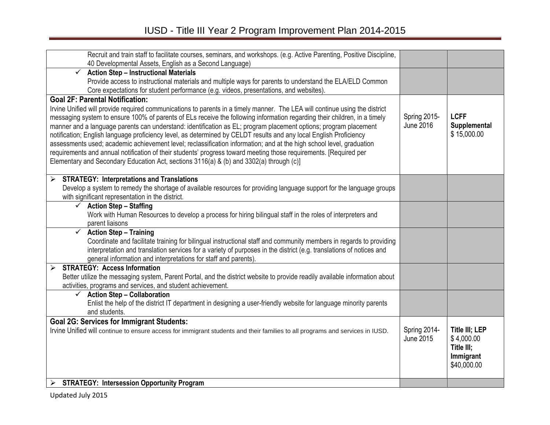| Recruit and train staff to facilitate courses, seminars, and workshops. (e.g. Active Parenting, Positive Discipline,                                                      |                           |                                     |
|---------------------------------------------------------------------------------------------------------------------------------------------------------------------------|---------------------------|-------------------------------------|
| 40 Developmental Assets, English as a Second Language)<br><b>Action Step - Instructional Materials</b><br>$\checkmark$                                                    |                           |                                     |
| Provide access to instructional materials and multiple ways for parents to understand the ELA/ELD Common                                                                  |                           |                                     |
| Core expectations for student performance (e.g. videos, presentations, and websites).                                                                                     |                           |                                     |
| <b>Goal 2F: Parental Notification:</b>                                                                                                                                    |                           |                                     |
| Irvine Unified will provide required communications to parents in a timely manner. The LEA will continue using the district                                               |                           |                                     |
| messaging system to ensure 100% of parents of ELs receive the following information regarding their children, in a timely                                                 | Spring 2015-              | <b>LCFF</b>                         |
| manner and a language parents can understand: identification as EL; program placement options; program placement                                                          | <b>June 2016</b>          | Supplemental                        |
| notification; English language proficiency level, as determined by CELDT results and any local English Proficiency                                                        |                           | \$15,000.00                         |
| assessments used; academic achievement level; reclassification information; and at the high school level, graduation                                                      |                           |                                     |
| requirements and annual notification of their students' progress toward meeting those requirements. [Required per                                                         |                           |                                     |
| Elementary and Secondary Education Act, sections 3116(a) & (b) and 3302(a) through (c)]                                                                                   |                           |                                     |
|                                                                                                                                                                           |                           |                                     |
| <b>STRATEGY: Interpretations and Translations</b><br>≻                                                                                                                    |                           |                                     |
| Develop a system to remedy the shortage of available resources for providing language support for the language groups<br>with significant representation in the district. |                           |                                     |
| $\checkmark$ Action Step - Staffing                                                                                                                                       |                           |                                     |
| Work with Human Resources to develop a process for hiring bilingual staff in the roles of interpreters and                                                                |                           |                                     |
| parent liaisons                                                                                                                                                           |                           |                                     |
| $\checkmark$ Action Step - Training                                                                                                                                       |                           |                                     |
| Coordinate and facilitate training for bilingual instructional staff and community members in regards to providing                                                        |                           |                                     |
| interpretation and translation services for a variety of purposes in the district (e.g. translations of notices and                                                       |                           |                                     |
| general information and interpretations for staff and parents)                                                                                                            |                           |                                     |
| <b>STRATEGY: Access Information</b><br>➤                                                                                                                                  |                           |                                     |
| Better utilize the messaging system, Parent Portal, and the district website to provide readily available information about                                               |                           |                                     |
| activities, programs and services, and student achievement.                                                                                                               |                           |                                     |
| <b>Action Step - Collaboration</b><br>$\checkmark$                                                                                                                        |                           |                                     |
| Enlist the help of the district IT department in designing a user-friendly website for language minority parents                                                          |                           |                                     |
| and students.                                                                                                                                                             |                           |                                     |
| <b>Goal 2G: Services for Immigrant Students:</b>                                                                                                                          |                           |                                     |
| Irvine Unified will continue to ensure access for immigrant students and their families to all programs and services in IUSD.                                             | Spring 2014-<br>June 2015 | <b>Title III; LEP</b><br>\$4,000.00 |
|                                                                                                                                                                           |                           | Title III;                          |
|                                                                                                                                                                           |                           | Immigrant                           |
|                                                                                                                                                                           |                           | \$40,000.00                         |
|                                                                                                                                                                           |                           |                                     |
| <b>STRATEGY: Intersession Opportunity Program</b><br>➤                                                                                                                    |                           |                                     |